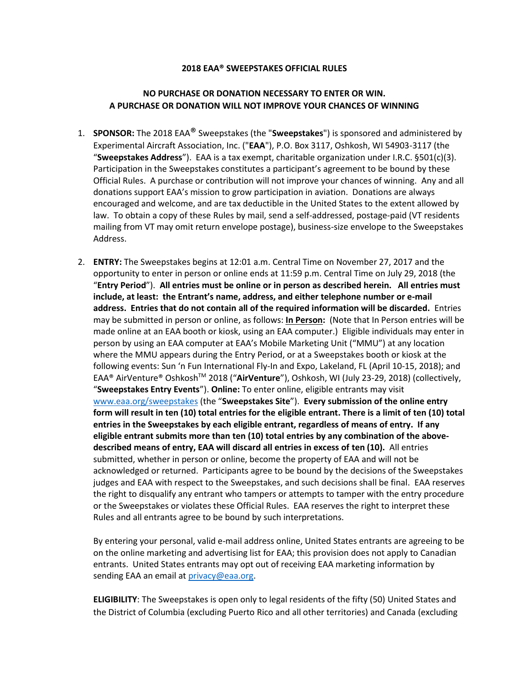## **2018 EAA® SWEEPSTAKES OFFICIAL RULES**

## **NO PURCHASE OR DONATION NECESSARY TO ENTER OR WIN. A PURCHASE OR DONATION WILL NOT IMPROVE YOUR CHANCES OF WINNING**

- 1. **SPONSOR:** The 2018 EAA® Sweepstakes (the "**Sweepstakes**") is sponsored and administered by Experimental Aircraft Association, Inc. ("**EAA**"), P.O. Box 3117, Oshkosh, WI 54903-3117 (the "**Sweepstakes Address**"). EAA is a tax exempt, charitable organization under I.R.C. §501(c)(3). Participation in the Sweepstakes constitutes a participant's agreement to be bound by these Official Rules. A purchase or contribution will not improve your chances of winning. Any and all donations support EAA's mission to grow participation in aviation. Donations are always encouraged and welcome, and are tax deductible in the United States to the extent allowed by law. To obtain a copy of these Rules by mail, send a self-addressed, postage-paid (VT residents mailing from VT may omit return envelope postage), business-size envelope to the Sweepstakes Address.
- 2. **ENTRY:** The Sweepstakes begins at 12:01 a.m. Central Time on November 27, 2017 and the opportunity to enter in person or online ends at 11:59 p.m. Central Time on July 29, 2018 (the "**Entry Period**"). **All entries must be online or in person as described herein. All entries must include, at least: the Entrant's name, address, and either telephone number or e-mail address. Entries that do not contain all of the required information will be discarded.** Entries may be submitted in person or online, as follows: **In Person:** (Note that In Person entries will be made online at an EAA booth or kiosk, using an EAA computer.) Eligible individuals may enter in person by using an EAA computer at EAA's Mobile Marketing Unit ("MMU") at any location where the MMU appears during the Entry Period, or at a Sweepstakes booth or kiosk at the following events: Sun 'n Fun International Fly-In and Expo, Lakeland, FL (April 10-15, 2018); and EAA® AirVenture® OshkoshTM 2018 ("**AirVenture**"), Oshkosh, WI (July 23-29, 2018) (collectively, "**Sweepstakes Entry Events**"). **Online:** To enter online, eligible entrants may visit [www.eaa.org/sweepstakes](http://www.eaa.org/sweepstakes) (the "**Sweepstakes Site**"). **Every submission of the online entry form will result in ten (10) total entries for the eligible entrant. There is a limit of ten (10) total entries in the Sweepstakes by each eligible entrant, regardless of means of entry. If any eligible entrant submits more than ten (10) total entries by any combination of the abovedescribed means of entry, EAA will discard all entries in excess of ten (10).** All entries submitted, whether in person or online, become the property of EAA and will not be acknowledged or returned. Participants agree to be bound by the decisions of the Sweepstakes judges and EAA with respect to the Sweepstakes, and such decisions shall be final. EAA reserves the right to disqualify any entrant who tampers or attempts to tamper with the entry procedure or the Sweepstakes or violates these Official Rules. EAA reserves the right to interpret these Rules and all entrants agree to be bound by such interpretations.

By entering your personal, valid e-mail address online, United States entrants are agreeing to be on the online marketing and advertising list for EAA; this provision does not apply to Canadian entrants. United States entrants may opt out of receiving EAA marketing information by sending EAA an email at [privacy@eaa.org.](mailto:privacy@eaa.org)

**ELIGIBILITY**: The Sweepstakes is open only to legal residents of the fifty (50) United States and the District of Columbia (excluding Puerto Rico and all other territories) and Canada (excluding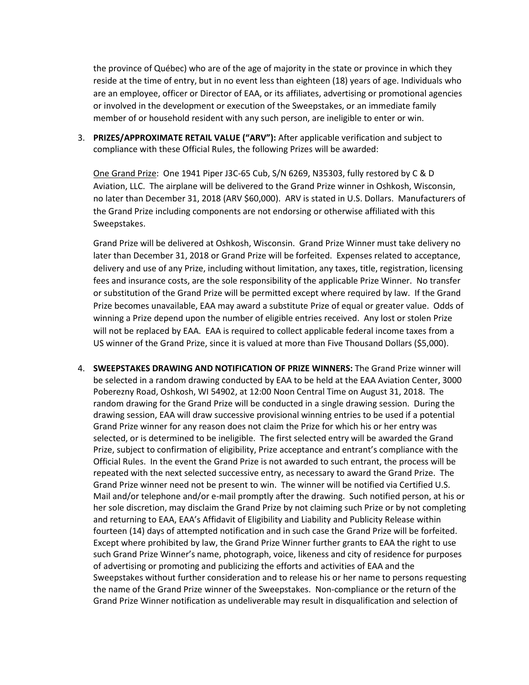the province of Québec) who are of the age of majority in the state or province in which they reside at the time of entry, but in no event less than eighteen (18) years of age. Individuals who are an employee, officer or Director of EAA, or its affiliates, advertising or promotional agencies or involved in the development or execution of the Sweepstakes, or an immediate family member of or household resident with any such person, are ineligible to enter or win.

3. **PRIZES/APPROXIMATE RETAIL VALUE ("ARV"):** After applicable verification and subject to compliance with these Official Rules, the following Prizes will be awarded:

One Grand Prize: One 1941 Piper J3C-65 Cub, S/N 6269, N35303, fully restored by C & D Aviation, LLC. The airplane will be delivered to the Grand Prize winner in Oshkosh, Wisconsin, no later than December 31, 2018 (ARV \$60,000). ARV is stated in U.S. Dollars. Manufacturers of the Grand Prize including components are not endorsing or otherwise affiliated with this Sweepstakes.

Grand Prize will be delivered at Oshkosh, Wisconsin. Grand Prize Winner must take delivery no later than December 31, 2018 or Grand Prize will be forfeited. Expenses related to acceptance, delivery and use of any Prize, including without limitation, any taxes, title, registration, licensing fees and insurance costs, are the sole responsibility of the applicable Prize Winner. No transfer or substitution of the Grand Prize will be permitted except where required by law. If the Grand Prize becomes unavailable, EAA may award a substitute Prize of equal or greater value. Odds of winning a Prize depend upon the number of eligible entries received. Any lost or stolen Prize will not be replaced by EAA. EAA is required to collect applicable federal income taxes from a US winner of the Grand Prize, since it is valued at more than Five Thousand Dollars (\$5,000).

4. **SWEEPSTAKES DRAWING AND NOTIFICATION OF PRIZE WINNERS:** The Grand Prize winner will be selected in a random drawing conducted by EAA to be held at the EAA Aviation Center, 3000 Poberezny Road, Oshkosh, WI 54902, at 12:00 Noon Central Time on August 31, 2018. The random drawing for the Grand Prize will be conducted in a single drawing session. During the drawing session, EAA will draw successive provisional winning entries to be used if a potential Grand Prize winner for any reason does not claim the Prize for which his or her entry was selected, or is determined to be ineligible. The first selected entry will be awarded the Grand Prize, subject to confirmation of eligibility, Prize acceptance and entrant's compliance with the Official Rules. In the event the Grand Prize is not awarded to such entrant, the process will be repeated with the next selected successive entry, as necessary to award the Grand Prize. The Grand Prize winner need not be present to win. The winner will be notified via Certified U.S. Mail and/or telephone and/or e-mail promptly after the drawing. Such notified person, at his or her sole discretion, may disclaim the Grand Prize by not claiming such Prize or by not completing and returning to EAA, EAA's Affidavit of Eligibility and Liability and Publicity Release within fourteen (14) days of attempted notification and in such case the Grand Prize will be forfeited. Except where prohibited by law, the Grand Prize Winner further grants to EAA the right to use such Grand Prize Winner's name, photograph, voice, likeness and city of residence for purposes of advertising or promoting and publicizing the efforts and activities of EAA and the Sweepstakes without further consideration and to release his or her name to persons requesting the name of the Grand Prize winner of the Sweepstakes. Non-compliance or the return of the Grand Prize Winner notification as undeliverable may result in disqualification and selection of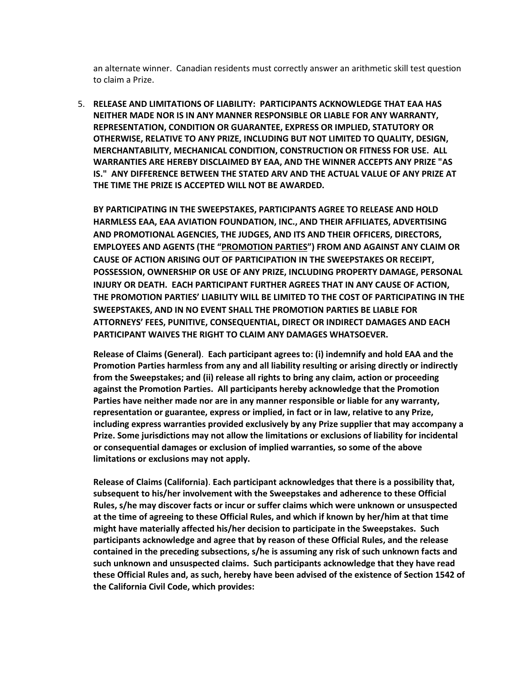an alternate winner. Canadian residents must correctly answer an arithmetic skill test question to claim a Prize.

5. **RELEASE AND LIMITATIONS OF LIABILITY: PARTICIPANTS ACKNOWLEDGE THAT EAA HAS NEITHER MADE NOR IS IN ANY MANNER RESPONSIBLE OR LIABLE FOR ANY WARRANTY, REPRESENTATION, CONDITION OR GUARANTEE, EXPRESS OR IMPLIED, STATUTORY OR OTHERWISE, RELATIVE TO ANY PRIZE, INCLUDING BUT NOT LIMITED TO QUALITY, DESIGN, MERCHANTABILITY, MECHANICAL CONDITION, CONSTRUCTION OR FITNESS FOR USE. ALL WARRANTIES ARE HEREBY DISCLAIMED BY EAA, AND THE WINNER ACCEPTS ANY PRIZE "AS IS." ANY DIFFERENCE BETWEEN THE STATED ARV AND THE ACTUAL VALUE OF ANY PRIZE AT THE TIME THE PRIZE IS ACCEPTED WILL NOT BE AWARDED.**

**BY PARTICIPATING IN THE SWEEPSTAKES, PARTICIPANTS AGREE TO RELEASE AND HOLD HARMLESS EAA, EAA AVIATION FOUNDATION, INC., AND THEIR AFFILIATES, ADVERTISING AND PROMOTIONAL AGENCIES, THE JUDGES, AND ITS AND THEIR OFFICERS, DIRECTORS, EMPLOYEES AND AGENTS (THE "PROMOTION PARTIES") FROM AND AGAINST ANY CLAIM OR CAUSE OF ACTION ARISING OUT OF PARTICIPATION IN THE SWEEPSTAKES OR RECEIPT, POSSESSION, OWNERSHIP OR USE OF ANY PRIZE, INCLUDING PROPERTY DAMAGE, PERSONAL INJURY OR DEATH. EACH PARTICIPANT FURTHER AGREES THAT IN ANY CAUSE OF ACTION, THE PROMOTION PARTIES' LIABILITY WILL BE LIMITED TO THE COST OF PARTICIPATING IN THE SWEEPSTAKES, AND IN NO EVENT SHALL THE PROMOTION PARTIES BE LIABLE FOR ATTORNEYS' FEES, PUNITIVE, CONSEQUENTIAL, DIRECT OR INDIRECT DAMAGES AND EACH PARTICIPANT WAIVES THE RIGHT TO CLAIM ANY DAMAGES WHATSOEVER.**

**Release of Claims (General)**. **Each participant agrees to: (i) indemnify and hold EAA and the Promotion Parties harmless from any and all liability resulting or arising directly or indirectly from the Sweepstakes; and (ii) release all rights to bring any claim, action or proceeding against the Promotion Parties. All participants hereby acknowledge that the Promotion Parties have neither made nor are in any manner responsible or liable for any warranty, representation or guarantee, express or implied, in fact or in law, relative to any Prize, including express warranties provided exclusively by any Prize supplier that may accompany a Prize. Some jurisdictions may not allow the limitations or exclusions of liability for incidental or consequential damages or exclusion of implied warranties, so some of the above limitations or exclusions may not apply.**

**Release of Claims (California)**. **Each participant acknowledges that there is a possibility that, subsequent to his/her involvement with the Sweepstakes and adherence to these Official Rules, s/he may discover facts or incur or suffer claims which were unknown or unsuspected at the time of agreeing to these Official Rules, and which if known by her/him at that time might have materially affected his/her decision to participate in the Sweepstakes. Such participants acknowledge and agree that by reason of these Official Rules, and the release contained in the preceding subsections, s/he is assuming any risk of such unknown facts and such unknown and unsuspected claims. Such participants acknowledge that they have read these Official Rules and, as such, hereby have been advised of the existence of Section 1542 of the California Civil Code, which provides:**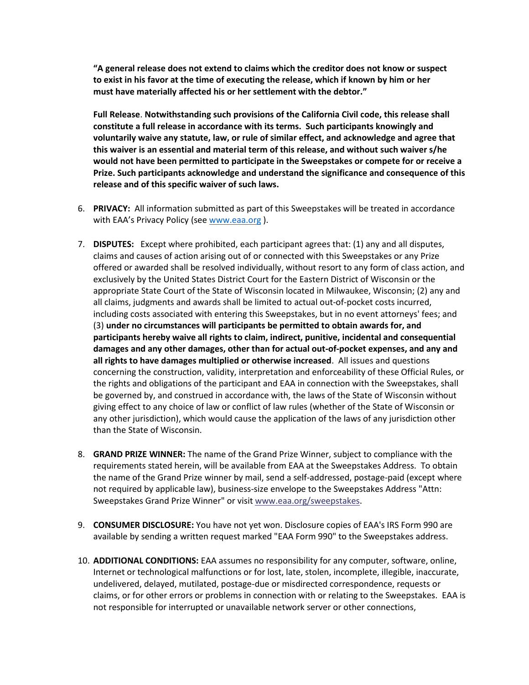**"A general release does not extend to claims which the creditor does not know or suspect to exist in his favor at the time of executing the release, which if known by him or her must have materially affected his or her settlement with the debtor."**

**Full Release**. **Notwithstanding such provisions of the California Civil code, this release shall constitute a full release in accordance with its terms. Such participants knowingly and voluntarily waive any statute, law, or rule of similar effect, and acknowledge and agree that this waiver is an essential and material term of this release, and without such waiver s/he would not have been permitted to participate in the Sweepstakes or compete for or receive a Prize. Such participants acknowledge and understand the significance and consequence of this release and of this specific waiver of such laws.**

- 6. **PRIVACY:** All information submitted as part of this Sweepstakes will be treated in accordance with EAA's Privacy Policy (see [www.eaa.org](http://www.eaa.org/)).
- 7. **DISPUTES:** Except where prohibited, each participant agrees that: (1) any and all disputes, claims and causes of action arising out of or connected with this Sweepstakes or any Prize offered or awarded shall be resolved individually, without resort to any form of class action, and exclusively by the United States District Court for the Eastern District of Wisconsin or the appropriate State Court of the State of Wisconsin located in Milwaukee, Wisconsin; (2) any and all claims, judgments and awards shall be limited to actual out-of-pocket costs incurred, including costs associated with entering this Sweepstakes, but in no event attorneys' fees; and (3) **under no circumstances will participants be permitted to obtain awards for, and participants hereby waive all rights to claim, indirect, punitive, incidental and consequential damages and any other damages, other than for actual out-of-pocket expenses, and any and all rights to have damages multiplied or otherwise increased**. All issues and questions concerning the construction, validity, interpretation and enforceability of these Official Rules, or the rights and obligations of the participant and EAA in connection with the Sweepstakes, shall be governed by, and construed in accordance with, the laws of the State of Wisconsin without giving effect to any choice of law or conflict of law rules (whether of the State of Wisconsin or any other jurisdiction), which would cause the application of the laws of any jurisdiction other than the State of Wisconsin.
- 8. **GRAND PRIZE WINNER:** The name of the Grand Prize Winner, subject to compliance with the requirements stated herein, will be available from EAA at the Sweepstakes Address. To obtain the name of the Grand Prize winner by mail, send a self-addressed, postage-paid (except where not required by applicable law), business-size envelope to the Sweepstakes Address "Attn: Sweepstakes Grand Prize Winner" or visit www.eaa.org/sweepstakes.
- 9. **CONSUMER DISCLOSURE:** You have not yet won. Disclosure copies of EAA's IRS Form 990 are available by sending a written request marked "EAA Form 990" to the Sweepstakes address.
- 10. **ADDITIONAL CONDITIONS:** EAA assumes no responsibility for any computer, software, online, Internet or technological malfunctions or for lost, late, stolen, incomplete, illegible, inaccurate, undelivered, delayed, mutilated, postage-due or misdirected correspondence, requests or claims, or for other errors or problems in connection with or relating to the Sweepstakes. EAA is not responsible for interrupted or unavailable network server or other connections,